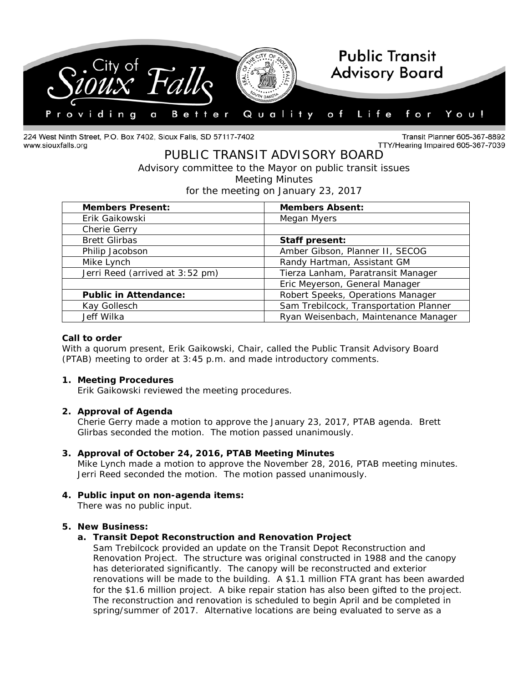

224 West Ninth Street, P.O. Box 7402, Sioux Falls, SD 57117-7402 www.siouxfalls.org

Transit Planner 605-367-8892 TTY/Hearing Impaired 605-367-7039

# PUBLIC TRANSIT ADVISORY BOARD *Advisory committee to the Mayor on public transit issues* Meeting Minutes

for the meeting on January 23, 2017

| <b>Members Present:</b>         | <b>Members Absent:</b>                 |
|---------------------------------|----------------------------------------|
| Erik Gaikowski                  | Megan Myers                            |
| Cherie Gerry                    |                                        |
| <b>Brett Glirbas</b>            | Staff present:                         |
| Philip Jacobson                 | Amber Gibson, Planner II, SECOG        |
| Mike Lynch                      | Randy Hartman, Assistant GM            |
| Jerri Reed (arrived at 3:52 pm) | Tierza Lanham, Paratransit Manager     |
|                                 | Eric Meyerson, General Manager         |
| <b>Public in Attendance:</b>    | Robert Speeks, Operations Manager      |
| Kay Gollesch                    | Sam Trebilcock, Transportation Planner |
| Jeff Wilka                      | Ryan Weisenbach, Maintenance Manager   |

## **Call to order**

With a quorum present, Erik Gaikowski, Chair, called the Public Transit Advisory Board (PTAB) meeting to order at 3:45 p.m. and made introductory comments.

#### **1. Meeting Procedures**

Erik Gaikowski reviewed the meeting procedures.

# **2. Approval of Agenda**

Cherie Gerry made a motion to approve the January 23, 2017, PTAB agenda. Brett Glirbas seconded the motion. The motion passed unanimously.

#### **3. Approval of October 24, 2016, PTAB Meeting Minutes**

Mike Lynch made a motion to approve the November 28, 2016, PTAB meeting minutes. Jerri Reed seconded the motion. The motion passed unanimously.

# **4. Public input on non-agenda items:**

There was no public input.

# **5. New Business:**

# **a. Transit Depot Reconstruction and Renovation Project**

Sam Trebilcock provided an update on the Transit Depot Reconstruction and Renovation Project. The structure was original constructed in 1988 and the canopy has deteriorated significantly. The canopy will be reconstructed and exterior renovations will be made to the building. A \$1.1 million FTA grant has been awarded for the \$1.6 million project. A bike repair station has also been gifted to the project. The reconstruction and renovation is scheduled to begin April and be completed in spring/summer of 2017. Alternative locations are being evaluated to serve as a